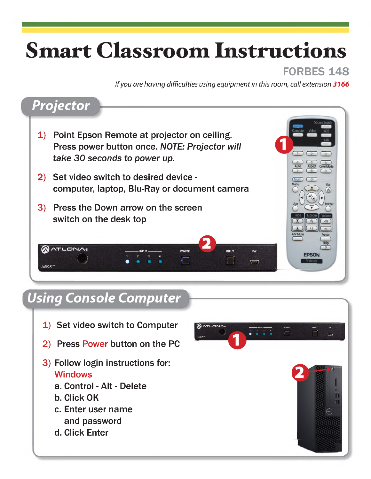## **Smart Classroom Instructions**

## FORBES 148

**EPSON** 

*If you are having difficulties using equipment in this room, call extension 3166*

## *Projector*

- 1) Point Epson Remote at projector on ceiling. Press power button once. *NOTE: Projector will take 30 seconds to power up.*
- 2) Set video switch to desired device computer, laptop, Blu-Ray or document camera
- 3) Press the Down arrow on the screen switch on the desk top

#### **QATLONA®** POWER **INPUT FW**  $\sqrt{2}$  $\Box$ **ILINOXTM**

## *Using Console Computer*

- 1) Set video switch to Computer
- 2) Press Power button on the PC
- 3) Follow login instructions for: Windows
	- a. Control Alt Delete
	- b. Click OK
	- c. Enter user name and password
	- d. Click Enter

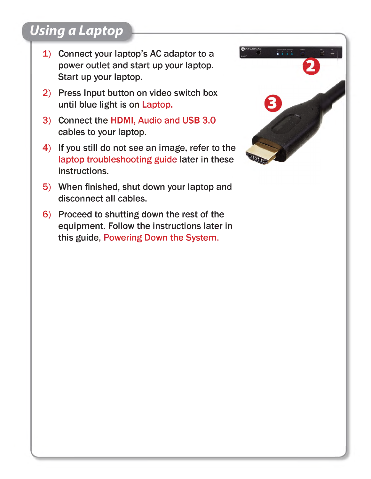## *Using a Laptop*

- 1) Connect your laptop's AC adaptor to a power outlet and start up your laptop. Start up your laptop.
- 2) Press Input button on video switch box until blue light is on Laptop.
- 3) Connect the HDMI, Audio and USB 3.0 cables to your laptop.
- 4) If you still do not see an image, refer to the laptop troubleshooting guide later in these instructions.
- 5) When finished, shut down your laptop and disconnect all cables.
- 6) Proceed to shutting down the rest of the equipment. Follow the instructions later in this guide, Powering Down the System.

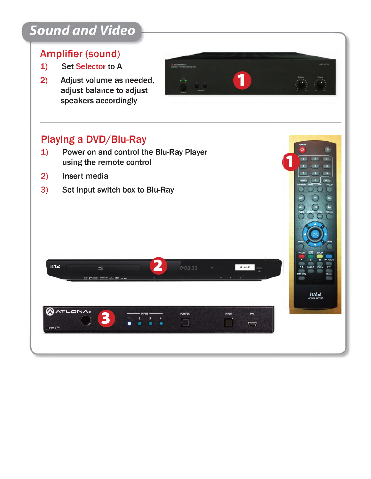# **Sound and Video<br>
Amplifier (sound)<br>
1) Set Selector to A<br>
2) Adjust volume as new**

## Amplifier (sound)

- 
- Amplifier (sound)<br>
2) Set Selector to A<br>
2) Adjust volume as needed,<br>
adjust balance to adjust adjust balance to adjust speakers accordingly

- Playing a DVD/Blu-Ray<br>
1) Power on and control the using the remote control<br>
2) Insert media<br>
2) Set input switch box to Playing a DVD/Blu-Ray<br>
1) Power on and control the Blu-Ray Player<br>
using the remote control using the remote control 1) Power on and control the Blu-R<br>using the remote control<br>2) Insert media<br>3) Set input switch box to Blu-Ray
- 
- 



1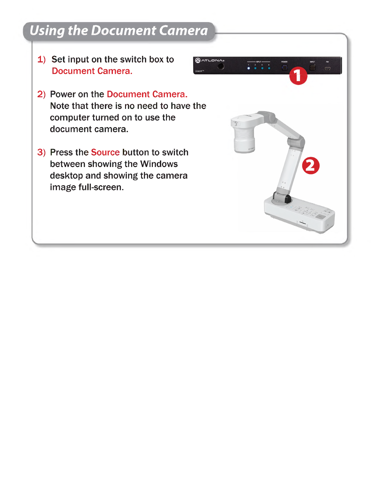## *Using the Document Camera*

- 1) Set input on the switch box to Document Camera.
- 2) Power on the Document Camera. Note that there is no need to have the computer turned on to use the document camera.
- 3) Press the Source button to switch between showing the Windows desktop and showing the camera image full-screen.